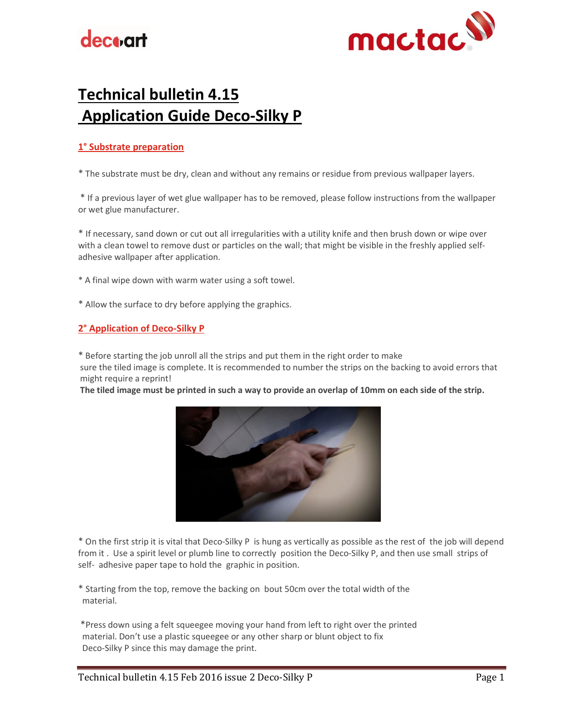# **decoart**



## Technical bulletin 4.15 Application Guide Deco-Silky P

### 1° Substrate preparation

\* The substrate must be dry, clean and without any remains or residue from previous wallpaper layers.

\* If a previous layer of wet glue wallpaper has to be removed, please follow instructions from the wallpaper or wet glue manufacturer.

\* If necessary, sand down or cut out all irregularities with a utility knife and then brush down or wipe over with a clean towel to remove dust or particles on the wall; that might be visible in the freshly applied selfadhesive wallpaper after application.

\* A final wipe down with warm water using a soft towel.

\* Allow the surface to dry before applying the graphics.

#### 2° Application of Deco-Silky P

\* Before starting the job unroll all the strips and put them in the right order to make

 sure the tiled image is complete. It is recommended to number the strips on the backing to avoid errors that might require a reprint!

The tiled image must be printed in such a way to provide an overlap of 10mm on each side of the strip.



\* On the first strip it is vital that Deco-Silky P is hung as vertically as possible as the rest of the job will depend from it . Use a spirit level or plumb line to correctly position the Deco-Silky P, and then use small strips of self- adhesive paper tape to hold the graphic in position.

\* Starting from the top, remove the backing on bout 50cm over the total width of the material.

 \*Press down using a felt squeegee moving your hand from left to right over the printed material. Don't use a plastic squeegee or any other sharp or blunt object to fix Deco-Silky P since this may damage the print.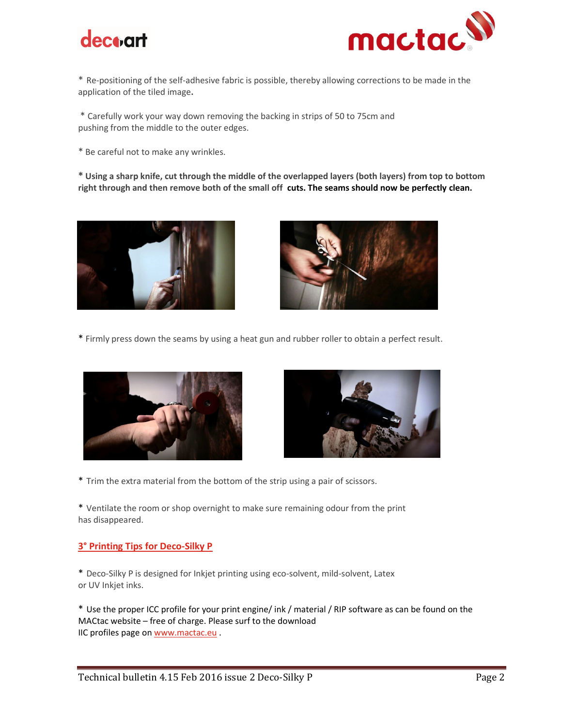



\* Re-positioning of the self-adhesive fabric is possible, thereby allowing corrections to be made in the application of the tiled image.

\* Carefully work your way down removing the backing in strips of 50 to 75cm and pushing from the middle to the outer edges.

\* Be careful not to make any wrinkles.

\* Using a sharp knife, cut through the middle of the overlapped layers (both layers) from top to bottom right through and then remove both of the small off cuts. The seams should now be perfectly clean.





\* Firmly press down the seams by using a heat gun and rubber roller to obtain a perfect result.





\* Trim the extra material from the bottom of the strip using a pair of scissors.

\* Ventilate the room or shop overnight to make sure remaining odour from the print has disappeared.

#### 3° Printing Tips for Deco-Silky P

\* Deco-Silky P is designed for Inkjet printing using eco-solvent, mild-solvent, Latex or UV Inkjet inks.

\* Use the proper ICC profile for your print engine/ ink / material / RIP software as can be found on the MACtac website – free of charge. Please surf to the download IIC profiles page on www.mactac.eu.